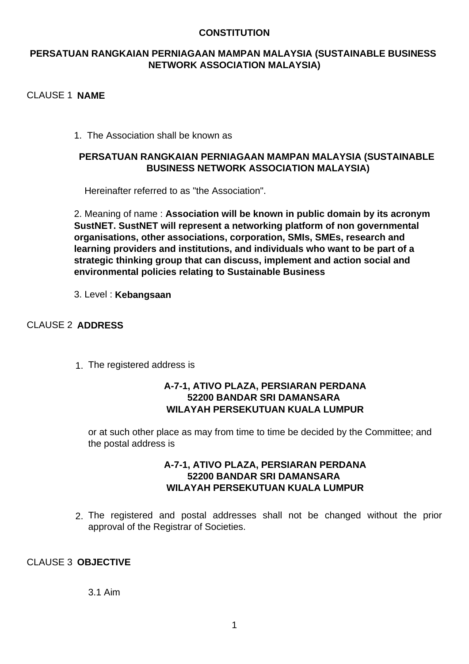## **CONSTITUTION**

# **PERSATUAN RANGKAIAN PERNIAGAAN MAMPAN MALAYSIA (SUSTAINABLE BUSINESS NETWORK ASSOCIATION MALAYSIA)**

# CLAUSE 1 **NAME**

1. The Association shall be known as

# **PERSATUAN RANGKAIAN PERNIAGAAN MAMPAN MALAYSIA (SUSTAINABLE BUSINESS NETWORK ASSOCIATION MALAYSIA)**

Hereinafter referred to as "the Association".

2. Meaning of name : **Association will be known in public domain by its acronym SustNET. SustNET will represent a networking platform of non governmental organisations, other associations, corporation, SMIs, SMEs, research and learning providers and institutions, and individuals who want to be part of a strategic thinking group that can discuss, implement and action social and environmental policies relating to Sustainable Business**

3. Level : **Kebangsaan**

# CLAUSE 2 **ADDRESS**

1. The registered address is

# **A-7-1, ATIVO PLAZA, PERSIARAN PERDANA 52200 BANDAR SRI DAMANSARA WILAYAH PERSEKUTUAN KUALA LUMPUR**

or at such other place as may from time to time be decided by the Committee; and the postal address is

# **A-7-1, ATIVO PLAZA, PERSIARAN PERDANA 52200 BANDAR SRI DAMANSARA WILAYAH PERSEKUTUAN KUALA LUMPUR**

2. The registered and postal addresses shall not be changed without the prior approval of the Registrar of Societies.

# CLAUSE 3 **OBJECTIVE**

3.1 Aim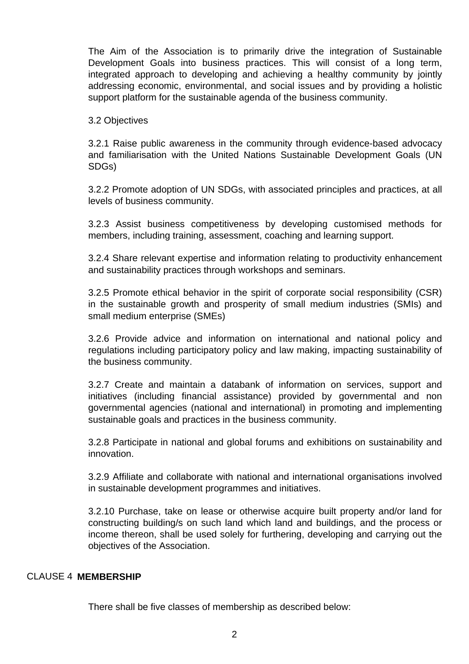The Aim of the Association is to primarily drive the integration of Sustainable Development Goals into business practices. This will consist of a long term, integrated approach to developing and achieving a healthy community by jointly addressing economic, environmental, and social issues and by providing a holistic support platform for the sustainable agenda of the business community.

## 3.2 Objectives

3.2.1 Raise public awareness in the community through evidence-based advocacy and familiarisation with the United Nations Sustainable Development Goals (UN SDGs)

3.2.2 Promote adoption of UN SDGs, with associated principles and practices, at all levels of business community.

3.2.3 Assist business competitiveness by developing customised methods for members, including training, assessment, coaching and learning support.

3.2.4 Share relevant expertise and information relating to productivity enhancement and sustainability practices through workshops and seminars.

3.2.5 Promote ethical behavior in the spirit of corporate social responsibility (CSR) in the sustainable growth and prosperity of small medium industries (SMIs) and small medium enterprise (SMEs)

3.2.6 Provide advice and information on international and national policy and regulations including participatory policy and law making, impacting sustainability of the business community.

3.2.7 Create and maintain a databank of information on services, support and initiatives (including financial assistance) provided by governmental and non governmental agencies (national and international) in promoting and implementing sustainable goals and practices in the business community.

3.2.8 Participate in national and global forums and exhibitions on sustainability and innovation.

3.2.9 Affiliate and collaborate with national and international organisations involved in sustainable development programmes and initiatives.

3.2.10 Purchase, take on lease or otherwise acquire built property and/or land for constructing building/s on such land which land and buildings, and the process or income thereon, shall be used solely for furthering, developing and carrying out the objectives of the Association.

# CLAUSE 4 **MEMBERSHIP**

There shall be five classes of membership as described below: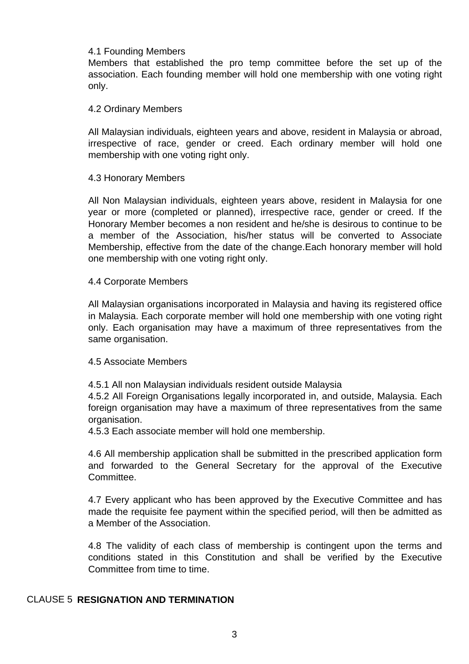#### 4.1 Founding Members

Members that established the pro temp committee before the set up of the association. Each founding member will hold one membership with one voting right only.

#### 4.2 Ordinary Members

All Malaysian individuals, eighteen years and above, resident in Malaysia or abroad, irrespective of race, gender or creed. Each ordinary member will hold one membership with one voting right only.

#### 4.3 Honorary Members

All Non Malaysian individuals, eighteen years above, resident in Malaysia for one year or more (completed or planned), irrespective race, gender or creed. If the Honorary Member becomes a non resident and he/she is desirous to continue to be a member of the Association, his/her status will be converted to Associate Membership, effective from the date of the change.Each honorary member will hold one membership with one voting right only.

#### 4.4 Corporate Members

All Malaysian organisations incorporated in Malaysia and having its registered office in Malaysia. Each corporate member will hold one membership with one voting right only. Each organisation may have a maximum of three representatives from the same organisation.

### 4.5 Associate Members

4.5.1 All non Malaysian individuals resident outside Malaysia

4.5.2 All Foreign Organisations legally incorporated in, and outside, Malaysia. Each foreign organisation may have a maximum of three representatives from the same organisation.

4.5.3 Each associate member will hold one membership.

4.6 All membership application shall be submitted in the prescribed application form and forwarded to the General Secretary for the approval of the Executive **Committee.** 

4.7 Every applicant who has been approved by the Executive Committee and has made the requisite fee payment within the specified period, will then be admitted as a Member of the Association.

4.8 The validity of each class of membership is contingent upon the terms and conditions stated in this Constitution and shall be verified by the Executive Committee from time to time.

# CLAUSE 5 **RESIGNATION AND TERMINATION**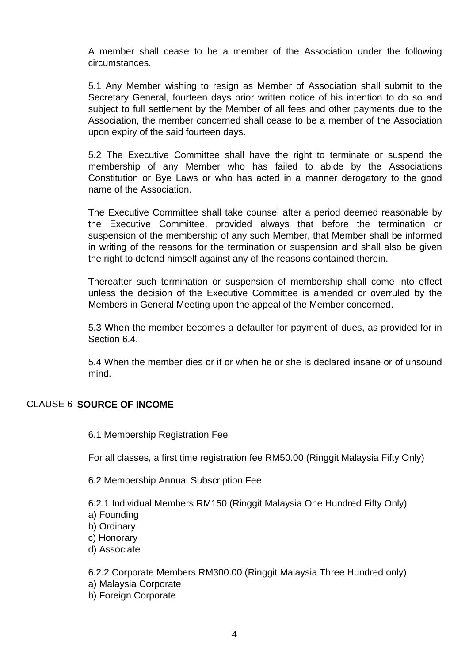A member shall cease to be a member of the Association under the following circumstances.

5.1 Any Member wishing to resign as Member of Association shall submit to the Secretary General, fourteen days prior written notice of his intention to do so and subject to full settlement by the Member of all fees and other payments due to the Association, the member concerned shall cease to be a member of the Association upon expiry of the said fourteen days.

5.2 The Executive Committee shall have the right to terminate or suspend the membership of any Member who has failed to abide by the Associations Constitution or Bye Laws or who has acted in a manner derogatory to the good name of the Association.

The Executive Committee shall take counsel after a period deemed reasonable by the Executive Committee, provided always that before the termination or suspension of the membership of any such Member, that Member shall be informed in writing of the reasons for the termination or suspension and shall also be given the right to defend himself against any of the reasons contained therein.

Thereafter such termination or suspension of membership shall come into effect unless the decision of the Executive Committee is amended or overruled by the Members in General Meeting upon the appeal of the Member concerned.

5.3 When the member becomes a defaulter for payment of dues, as provided for in Section 6.4.

5.4 When the member dies or if or when he or she is declared insane or of unsound mind.

### CLAUSE 6 **SOURCE OF INCOME**

6.1 Membership Registration Fee

For all classes, a first time registration fee RM50.00 (Ringgit Malaysia Fifty Only)

6.2 Membership Annual Subscription Fee

6.2.1 Individual Members RM150 (Ringgit Malaysia One Hundred Fifty Only)

- a) Founding
- b) Ordinary
- c) Honorary
- d) Associate

6.2.2 Corporate Members RM300.00 (Ringgit Malaysia Three Hundred only)

- a) Malaysia Corporate
- b) Foreign Corporate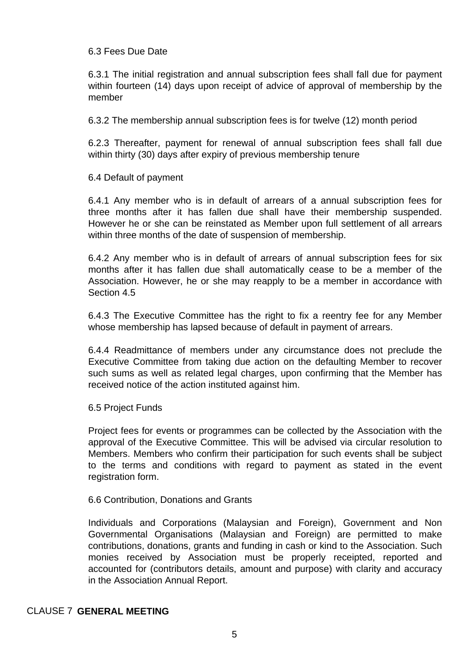## 6.3 Fees Due Date

6.3.1 The initial registration and annual subscription fees shall fall due for payment within fourteen (14) days upon receipt of advice of approval of membership by the member

6.3.2 The membership annual subscription fees is for twelve (12) month period

6.2.3 Thereafter, payment for renewal of annual subscription fees shall fall due within thirty (30) days after expiry of previous membership tenure

### 6.4 Default of payment

6.4.1 Any member who is in default of arrears of a annual subscription fees for three months after it has fallen due shall have their membership suspended. However he or she can be reinstated as Member upon full settlement of all arrears within three months of the date of suspension of membership.

6.4.2 Any member who is in default of arrears of annual subscription fees for six months after it has fallen due shall automatically cease to be a member of the Association. However, he or she may reapply to be a member in accordance with Section 4.5

6.4.3 The Executive Committee has the right to fix a reentry fee for any Member whose membership has lapsed because of default in payment of arrears.

6.4.4 Readmittance of members under any circumstance does not preclude the Executive Committee from taking due action on the defaulting Member to recover such sums as well as related legal charges, upon confirming that the Member has received notice of the action instituted against him.

#### 6.5 Project Funds

Project fees for events or programmes can be collected by the Association with the approval of the Executive Committee. This will be advised via circular resolution to Members. Members who confirm their participation for such events shall be subject to the terms and conditions with regard to payment as stated in the event registration form.

#### 6.6 Contribution, Donations and Grants

Individuals and Corporations (Malaysian and Foreign), Government and Non Governmental Organisations (Malaysian and Foreign) are permitted to make contributions, donations, grants and funding in cash or kind to the Association. Such monies received by Association must be properly receipted, reported and accounted for (contributors details, amount and purpose) with clarity and accuracy in the Association Annual Report.

# CLAUSE 7 **GENERAL MEETING**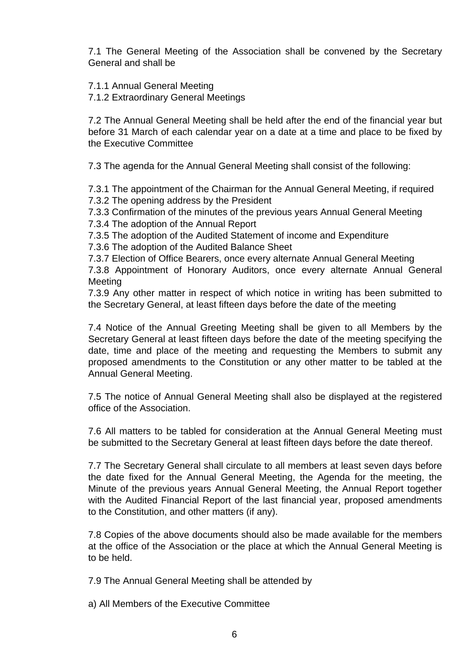7.1 The General Meeting of the Association shall be convened by the Secretary General and shall be

7.1.1 Annual General Meeting

7.1.2 Extraordinary General Meetings

7.2 The Annual General Meeting shall be held after the end of the financial year but before 31 March of each calendar year on a date at a time and place to be fixed by the Executive Committee

7.3 The agenda for the Annual General Meeting shall consist of the following:

7.3.1 The appointment of the Chairman for the Annual General Meeting, if required 7.3.2 The opening address by the President

7.3.3 Confirmation of the minutes of the previous years Annual General Meeting 7.3.4 The adoption of the Annual Report

7.3.5 The adoption of the Audited Statement of income and Expenditure

7.3.6 The adoption of the Audited Balance Sheet

7.3.7 Election of Office Bearers, once every alternate Annual General Meeting

7.3.8 Appointment of Honorary Auditors, once every alternate Annual General Meeting

7.3.9 Any other matter in respect of which notice in writing has been submitted to the Secretary General, at least fifteen days before the date of the meeting

7.4 Notice of the Annual Greeting Meeting shall be given to all Members by the Secretary General at least fifteen days before the date of the meeting specifying the date, time and place of the meeting and requesting the Members to submit any proposed amendments to the Constitution or any other matter to be tabled at the Annual General Meeting.

7.5 The notice of Annual General Meeting shall also be displayed at the registered office of the Association.

7.6 All matters to be tabled for consideration at the Annual General Meeting must be submitted to the Secretary General at least fifteen days before the date thereof.

7.7 The Secretary General shall circulate to all members at least seven days before the date fixed for the Annual General Meeting, the Agenda for the meeting, the Minute of the previous years Annual General Meeting, the Annual Report together with the Audited Financial Report of the last financial year, proposed amendments to the Constitution, and other matters (if any).

7.8 Copies of the above documents should also be made available for the members at the office of the Association or the place at which the Annual General Meeting is to be held.

7.9 The Annual General Meeting shall be attended by

a) All Members of the Executive Committee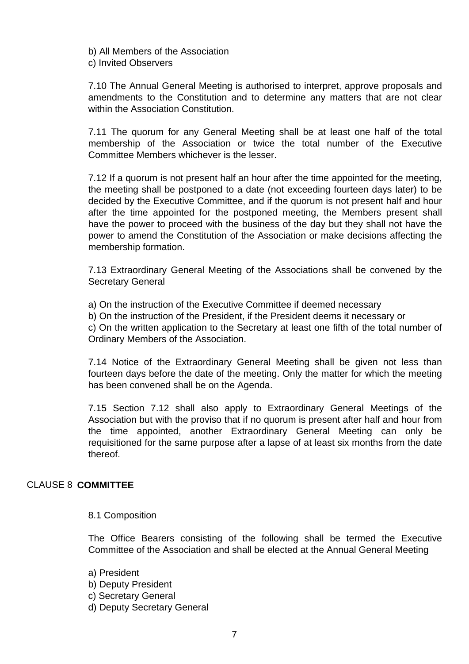b) All Members of the Association c) Invited Observers

7.10 The Annual General Meeting is authorised to interpret, approve proposals and amendments to the Constitution and to determine any matters that are not clear within the Association Constitution.

7.11 The quorum for any General Meeting shall be at least one half of the total membership of the Association or twice the total number of the Executive Committee Members whichever is the lesser.

7.12 If a quorum is not present half an hour after the time appointed for the meeting, the meeting shall be postponed to a date (not exceeding fourteen days later) to be decided by the Executive Committee, and if the quorum is not present half and hour after the time appointed for the postponed meeting, the Members present shall have the power to proceed with the business of the day but they shall not have the power to amend the Constitution of the Association or make decisions affecting the membership formation.

7.13 Extraordinary General Meeting of the Associations shall be convened by the Secretary General

a) On the instruction of the Executive Committee if deemed necessary

b) On the instruction of the President, if the President deems it necessary or

c) On the written application to the Secretary at least one fifth of the total number of Ordinary Members of the Association.

7.14 Notice of the Extraordinary General Meeting shall be given not less than fourteen days before the date of the meeting. Only the matter for which the meeting has been convened shall be on the Agenda.

7.15 Section 7.12 shall also apply to Extraordinary General Meetings of the Association but with the proviso that if no quorum is present after half and hour from the time appointed, another Extraordinary General Meeting can only be requisitioned for the same purpose after a lapse of at least six months from the date thereof.

### CLAUSE 8 **COMMITTEE**

8.1 Composition

The Office Bearers consisting of the following shall be termed the Executive Committee of the Association and shall be elected at the Annual General Meeting

a) President

- b) Deputy President
- c) Secretary General
- d) Deputy Secretary General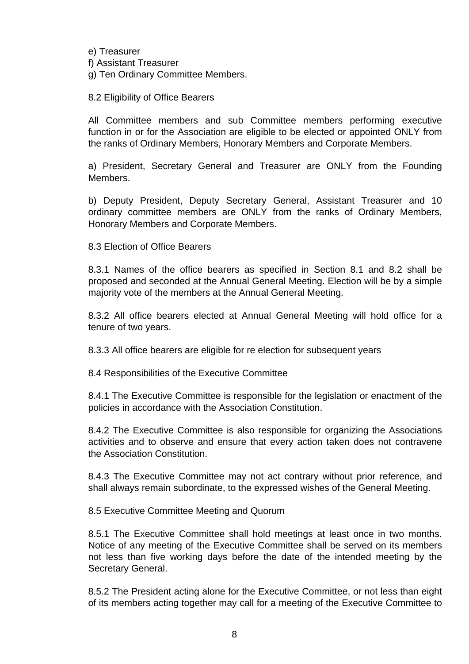e) Treasurer f) Assistant Treasurer g) Ten Ordinary Committee Members.

8.2 Eligibility of Office Bearers

All Committee members and sub Committee members performing executive function in or for the Association are eligible to be elected or appointed ONLY from the ranks of Ordinary Members, Honorary Members and Corporate Members.

a) President, Secretary General and Treasurer are ONLY from the Founding Members.

b) Deputy President, Deputy Secretary General, Assistant Treasurer and 10 ordinary committee members are ONLY from the ranks of Ordinary Members, Honorary Members and Corporate Members.

8.3 Election of Office Bearers

8.3.1 Names of the office bearers as specified in Section 8.1 and 8.2 shall be proposed and seconded at the Annual General Meeting. Election will be by a simple majority vote of the members at the Annual General Meeting.

8.3.2 All office bearers elected at Annual General Meeting will hold office for a tenure of two years.

8.3.3 All office bearers are eligible for re election for subsequent years

8.4 Responsibilities of the Executive Committee

8.4.1 The Executive Committee is responsible for the legislation or enactment of the policies in accordance with the Association Constitution.

8.4.2 The Executive Committee is also responsible for organizing the Associations activities and to observe and ensure that every action taken does not contravene the Association Constitution.

8.4.3 The Executive Committee may not act contrary without prior reference, and shall always remain subordinate, to the expressed wishes of the General Meeting.

8.5 Executive Committee Meeting and Quorum

8.5.1 The Executive Committee shall hold meetings at least once in two months. Notice of any meeting of the Executive Committee shall be served on its members not less than five working days before the date of the intended meeting by the Secretary General.

8.5.2 The President acting alone for the Executive Committee, or not less than eight of its members acting together may call for a meeting of the Executive Committee to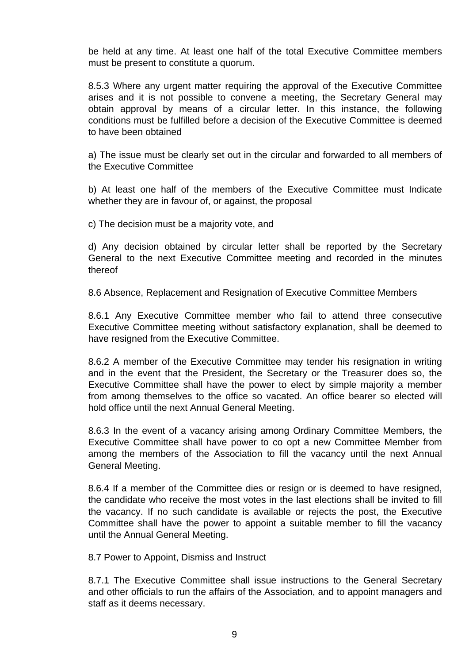be held at any time. At least one half of the total Executive Committee members must be present to constitute a quorum.

8.5.3 Where any urgent matter requiring the approval of the Executive Committee arises and it is not possible to convene a meeting, the Secretary General may obtain approval by means of a circular letter. In this instance, the following conditions must be fulfilled before a decision of the Executive Committee is deemed to have been obtained

a) The issue must be clearly set out in the circular and forwarded to all members of the Executive Committee

b) At least one half of the members of the Executive Committee must Indicate whether they are in favour of, or against, the proposal

c) The decision must be a majority vote, and

d) Any decision obtained by circular letter shall be reported by the Secretary General to the next Executive Committee meeting and recorded in the minutes thereof

8.6 Absence, Replacement and Resignation of Executive Committee Members

8.6.1 Any Executive Committee member who fail to attend three consecutive Executive Committee meeting without satisfactory explanation, shall be deemed to have resigned from the Executive Committee.

8.6.2 A member of the Executive Committee may tender his resignation in writing and in the event that the President, the Secretary or the Treasurer does so, the Executive Committee shall have the power to elect by simple majority a member from among themselves to the office so vacated. An office bearer so elected will hold office until the next Annual General Meeting.

8.6.3 In the event of a vacancy arising among Ordinary Committee Members, the Executive Committee shall have power to co opt a new Committee Member from among the members of the Association to fill the vacancy until the next Annual General Meeting.

8.6.4 If a member of the Committee dies or resign or is deemed to have resigned, the candidate who receive the most votes in the last elections shall be invited to fill the vacancy. If no such candidate is available or rejects the post, the Executive Committee shall have the power to appoint a suitable member to fill the vacancy until the Annual General Meeting.

8.7 Power to Appoint, Dismiss and Instruct

8.7.1 The Executive Committee shall issue instructions to the General Secretary and other officials to run the affairs of the Association, and to appoint managers and staff as it deems necessary.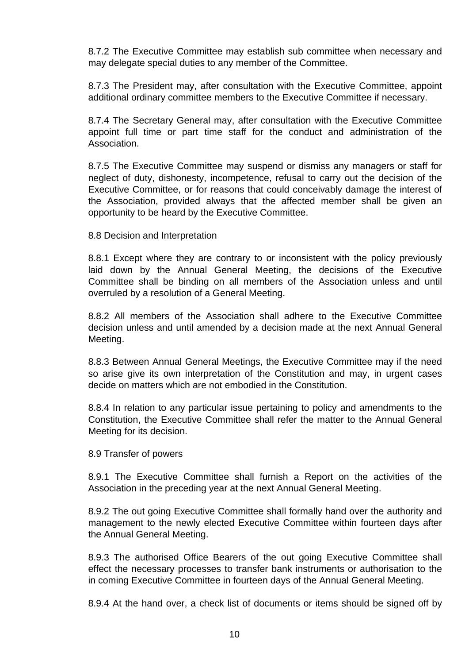8.7.2 The Executive Committee may establish sub committee when necessary and may delegate special duties to any member of the Committee.

8.7.3 The President may, after consultation with the Executive Committee, appoint additional ordinary committee members to the Executive Committee if necessary.

8.7.4 The Secretary General may, after consultation with the Executive Committee appoint full time or part time staff for the conduct and administration of the Association.

8.7.5 The Executive Committee may suspend or dismiss any managers or staff for neglect of duty, dishonesty, incompetence, refusal to carry out the decision of the Executive Committee, or for reasons that could conceivably damage the interest of the Association, provided always that the affected member shall be given an opportunity to be heard by the Executive Committee.

8.8 Decision and Interpretation

8.8.1 Except where they are contrary to or inconsistent with the policy previously laid down by the Annual General Meeting, the decisions of the Executive Committee shall be binding on all members of the Association unless and until overruled by a resolution of a General Meeting.

8.8.2 All members of the Association shall adhere to the Executive Committee decision unless and until amended by a decision made at the next Annual General Meeting.

8.8.3 Between Annual General Meetings, the Executive Committee may if the need so arise give its own interpretation of the Constitution and may, in urgent cases decide on matters which are not embodied in the Constitution.

8.8.4 In relation to any particular issue pertaining to policy and amendments to the Constitution, the Executive Committee shall refer the matter to the Annual General Meeting for its decision.

8.9 Transfer of powers

8.9.1 The Executive Committee shall furnish a Report on the activities of the Association in the preceding year at the next Annual General Meeting.

8.9.2 The out going Executive Committee shall formally hand over the authority and management to the newly elected Executive Committee within fourteen days after the Annual General Meeting.

8.9.3 The authorised Office Bearers of the out going Executive Committee shall effect the necessary processes to transfer bank instruments or authorisation to the in coming Executive Committee in fourteen days of the Annual General Meeting.

8.9.4 At the hand over, a check list of documents or items should be signed off by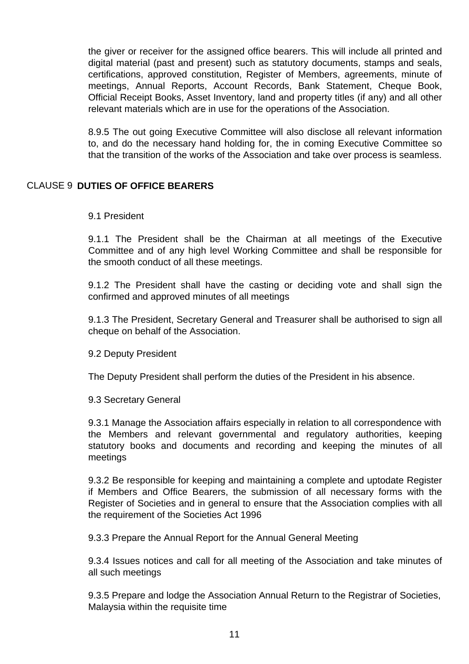the giver or receiver for the assigned office bearers. This will include all printed and digital material (past and present) such as statutory documents, stamps and seals, certifications, approved constitution, Register of Members, agreements, minute of meetings, Annual Reports, Account Records, Bank Statement, Cheque Book, Official Receipt Books, Asset Inventory, land and property titles (if any) and all other relevant materials which are in use for the operations of the Association.

8.9.5 The out going Executive Committee will also disclose all relevant information to, and do the necessary hand holding for, the in coming Executive Committee so that the transition of the works of the Association and take over process is seamless.

# CLAUSE 9 **DUTIES OF OFFICE BEARERS**

9.1 President

9.1.1 The President shall be the Chairman at all meetings of the Executive Committee and of any high level Working Committee and shall be responsible for the smooth conduct of all these meetings.

9.1.2 The President shall have the casting or deciding vote and shall sign the confirmed and approved minutes of all meetings

9.1.3 The President, Secretary General and Treasurer shall be authorised to sign all cheque on behalf of the Association.

9.2 Deputy President

The Deputy President shall perform the duties of the President in his absence.

9.3 Secretary General

9.3.1 Manage the Association affairs especially in relation to all correspondence with the Members and relevant governmental and regulatory authorities, keeping statutory books and documents and recording and keeping the minutes of all meetings

9.3.2 Be responsible for keeping and maintaining a complete and uptodate Register if Members and Office Bearers, the submission of all necessary forms with the Register of Societies and in general to ensure that the Association complies with all the requirement of the Societies Act 1996

9.3.3 Prepare the Annual Report for the Annual General Meeting

9.3.4 Issues notices and call for all meeting of the Association and take minutes of all such meetings

9.3.5 Prepare and lodge the Association Annual Return to the Registrar of Societies, Malaysia within the requisite time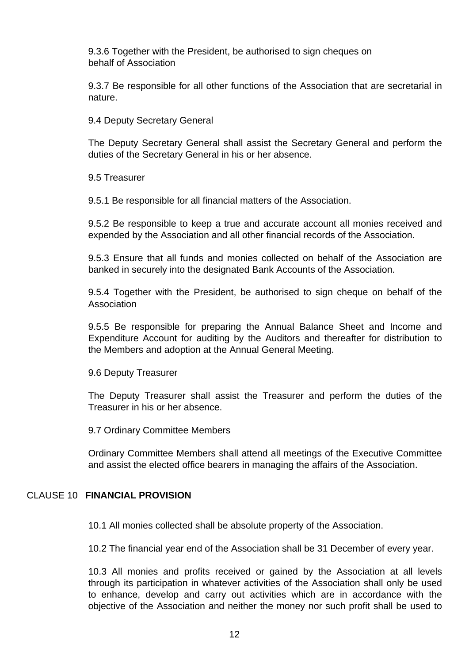9.3.6 Together with the President, be authorised to sign cheques on behalf of Association

9.3.7 Be responsible for all other functions of the Association that are secretarial in nature.

9.4 Deputy Secretary General

The Deputy Secretary General shall assist the Secretary General and perform the duties of the Secretary General in his or her absence.

9.5 Treasurer

9.5.1 Be responsible for all financial matters of the Association.

9.5.2 Be responsible to keep a true and accurate account all monies received and expended by the Association and all other financial records of the Association.

9.5.3 Ensure that all funds and monies collected on behalf of the Association are banked in securely into the designated Bank Accounts of the Association.

9.5.4 Together with the President, be authorised to sign cheque on behalf of the Association

9.5.5 Be responsible for preparing the Annual Balance Sheet and Income and Expenditure Account for auditing by the Auditors and thereafter for distribution to the Members and adoption at the Annual General Meeting.

9.6 Deputy Treasurer

The Deputy Treasurer shall assist the Treasurer and perform the duties of the Treasurer in his or her absence.

9.7 Ordinary Committee Members

Ordinary Committee Members shall attend all meetings of the Executive Committee and assist the elected office bearers in managing the affairs of the Association.

# CLAUSE 10 **FINANCIAL PROVISION**

10.1 All monies collected shall be absolute property of the Association.

10.2 The financial year end of the Association shall be 31 December of every year.

10.3 All monies and profits received or gained by the Association at all levels through its participation in whatever activities of the Association shall only be used to enhance, develop and carry out activities which are in accordance with the objective of the Association and neither the money nor such profit shall be used to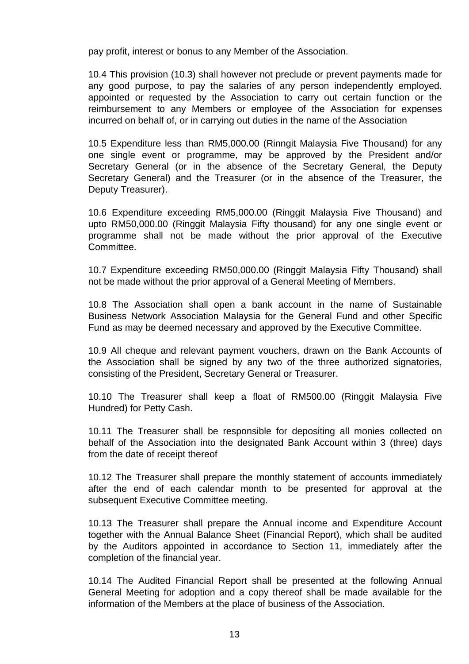pay profit, interest or bonus to any Member of the Association.

10.4 This provision (10.3) shall however not preclude or prevent payments made for any good purpose, to pay the salaries of any person independently employed. appointed or requested by the Association to carry out certain function or the reimbursement to any Members or employee of the Association for expenses incurred on behalf of, or in carrying out duties in the name of the Association

10.5 Expenditure less than RM5,000.00 (Rinngit Malaysia Five Thousand) for any one single event or programme, may be approved by the President and/or Secretary General (or in the absence of the Secretary General, the Deputy Secretary General) and the Treasurer (or in the absence of the Treasurer, the Deputy Treasurer).

10.6 Expenditure exceeding RM5,000.00 (Ringgit Malaysia Five Thousand) and upto RM50,000.00 (Ringgit Malaysia Fifty thousand) for any one single event or programme shall not be made without the prior approval of the Executive Committee.

10.7 Expenditure exceeding RM50,000.00 (Ringgit Malaysia Fifty Thousand) shall not be made without the prior approval of a General Meeting of Members.

10.8 The Association shall open a bank account in the name of Sustainable Business Network Association Malaysia for the General Fund and other Specific Fund as may be deemed necessary and approved by the Executive Committee.

10.9 All cheque and relevant payment vouchers, drawn on the Bank Accounts of the Association shall be signed by any two of the three authorized signatories, consisting of the President, Secretary General or Treasurer.

10.10 The Treasurer shall keep a float of RM500.00 (Ringgit Malaysia Five Hundred) for Petty Cash.

10.11 The Treasurer shall be responsible for depositing all monies collected on behalf of the Association into the designated Bank Account within 3 (three) days from the date of receipt thereof

10.12 The Treasurer shall prepare the monthly statement of accounts immediately after the end of each calendar month to be presented for approval at the subsequent Executive Committee meeting.

10.13 The Treasurer shall prepare the Annual income and Expenditure Account together with the Annual Balance Sheet (Financial Report), which shall be audited by the Auditors appointed in accordance to Section 11, immediately after the completion of the financial year.

10.14 The Audited Financial Report shall be presented at the following Annual General Meeting for adoption and a copy thereof shall be made available for the information of the Members at the place of business of the Association.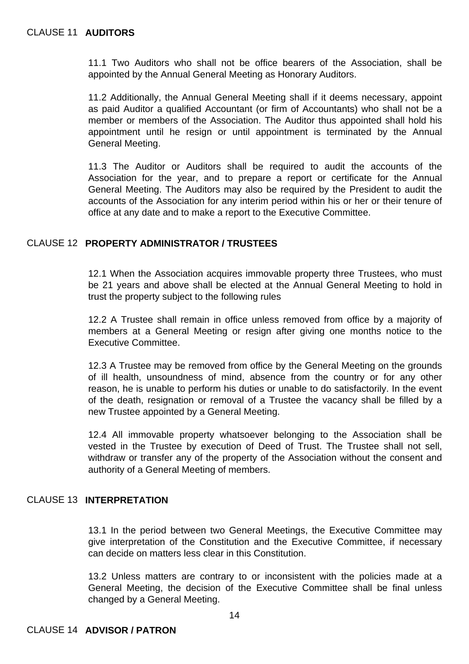11.1 Two Auditors who shall not be office bearers of the Association, shall be appointed by the Annual General Meeting as Honorary Auditors.

11.2 Additionally, the Annual General Meeting shall if it deems necessary, appoint as paid Auditor a qualified Accountant (or firm of Accountants) who shall not be a member or members of the Association. The Auditor thus appointed shall hold his appointment until he resign or until appointment is terminated by the Annual General Meeting.

11.3 The Auditor or Auditors shall be required to audit the accounts of the Association for the year, and to prepare a report or certificate for the Annual General Meeting. The Auditors may also be required by the President to audit the accounts of the Association for any interim period within his or her or their tenure of office at any date and to make a report to the Executive Committee.

# CLAUSE 12 **PROPERTY ADMINISTRATOR / TRUSTEES**

12.1 When the Association acquires immovable property three Trustees, who must be 21 years and above shall be elected at the Annual General Meeting to hold in trust the property subject to the following rules

12.2 A Trustee shall remain in office unless removed from office by a majority of members at a General Meeting or resign after giving one months notice to the Executive Committee.

12.3 A Trustee may be removed from office by the General Meeting on the grounds of ill health, unsoundness of mind, absence from the country or for any other reason, he is unable to perform his duties or unable to do satisfactorily. In the event of the death, resignation or removal of a Trustee the vacancy shall be filled by a new Trustee appointed by a General Meeting.

12.4 All immovable property whatsoever belonging to the Association shall be vested in the Trustee by execution of Deed of Trust. The Trustee shall not sell, withdraw or transfer any of the property of the Association without the consent and authority of a General Meeting of members.

# CLAUSE 13 **INTERPRETATION**

13.1 In the period between two General Meetings, the Executive Committee may give interpretation of the Constitution and the Executive Committee, if necessary can decide on matters less clear in this Constitution.

13.2 Unless matters are contrary to or inconsistent with the policies made at a General Meeting, the decision of the Executive Committee shall be final unless changed by a General Meeting.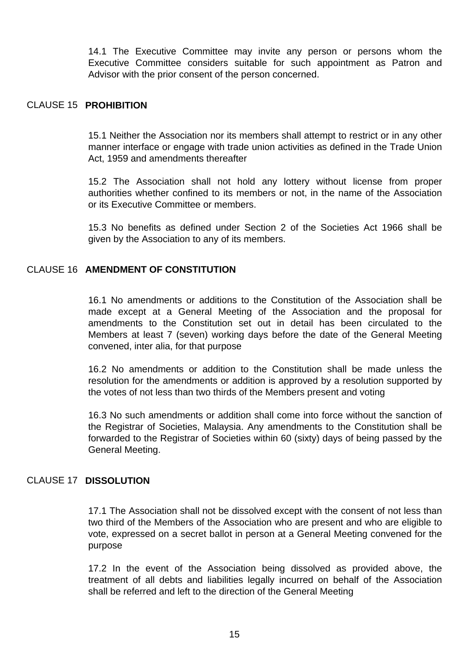14.1 The Executive Committee may invite any person or persons whom the Executive Committee considers suitable for such appointment as Patron and Advisor with the prior consent of the person concerned.

#### CLAUSE 15 **PROHIBITION**

15.1 Neither the Association nor its members shall attempt to restrict or in any other manner interface or engage with trade union activities as defined in the Trade Union Act, 1959 and amendments thereafter

15.2 The Association shall not hold any lottery without license from proper authorities whether confined to its members or not, in the name of the Association or its Executive Committee or members.

15.3 No benefits as defined under Section 2 of the Societies Act 1966 shall be given by the Association to any of its members.

## CLAUSE 16 **AMENDMENT OF CONSTITUTION**

16.1 No amendments or additions to the Constitution of the Association shall be made except at a General Meeting of the Association and the proposal for amendments to the Constitution set out in detail has been circulated to the Members at least 7 (seven) working days before the date of the General Meeting convened, inter alia, for that purpose

16.2 No amendments or addition to the Constitution shall be made unless the resolution for the amendments or addition is approved by a resolution supported by the votes of not less than two thirds of the Members present and voting

16.3 No such amendments or addition shall come into force without the sanction of the Registrar of Societies, Malaysia. Any amendments to the Constitution shall be forwarded to the Registrar of Societies within 60 (sixty) days of being passed by the General Meeting.

### CLAUSE 17 **DISSOLUTION**

17.1 The Association shall not be dissolved except with the consent of not less than two third of the Members of the Association who are present and who are eligible to vote, expressed on a secret ballot in person at a General Meeting convened for the purpose

17.2 In the event of the Association being dissolved as provided above, the treatment of all debts and liabilities legally incurred on behalf of the Association shall be referred and left to the direction of the General Meeting